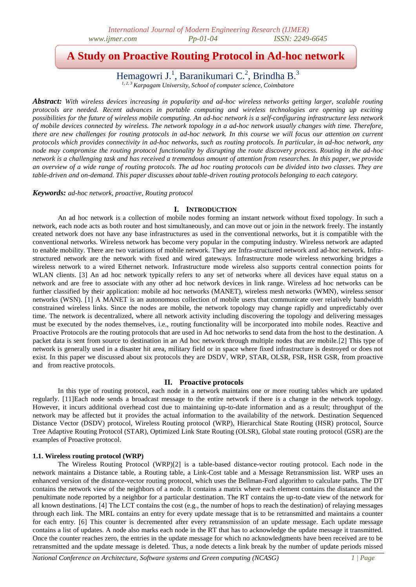# **A Study on Proactive Routing Protocol in Ad-hoc network**

Hemagowri J.<sup>1</sup>, Baranikumari C.<sup>2</sup>, Brindha B.<sup>3</sup>

<sup>3</sup> *Karpagam University, School of computer science, Coin* 

*Abstract: With wireless devices increasing in popularity and ad-hoc wireless networks getting larger, scalable routing protocols are needed. Recent advances in portable computing and wireless technologies are opening up exciting possibilities for the future of wireless mobile computing. An ad-hoc network is a self-configuring infrastructure less network of mobile devices connected by wireless. The network topology in a ad-hoc network usually changes with time. Therefore, there are new challenges for routing protocols in ad-hoc network. In this course we will focus our attention on current protocols which provides connectivity in ad-hoc networks, such as routing protocols. In particular, in ad-hoc network, any node may compromise the routing protocol functionality by disrupting the route discovery process. Routing in the ad-hoc network is a challenging task and has received a tremendous amount of attention from researches. In this paper, we provide an overview of a wide range of routing protocols. The ad hoc routing protocols can be divided into two classes. They are table-driven and on-demand. This paper discusses about table-driven routing protocols belonging to each category.*

*Keywords: ad-hoc network, proactive, Routing protocol*

# **I. INTRODUCTION**

An ad hoc network is a collection of mobile nodes forming an instant network without fixed topology. In such a network, each node acts as both router and host simultaneously, and can move out or join in the network freely. The instantly created network does not have any base infrastructures as used in the conventional networks, but it is compatible with the conventional networks. Wireless network has become very popular in the computing industry. Wireless network are adapted to enable mobility. There are two variations of mobile network. They are Infra-structured network and ad-hoc network. Infrastructured network are the network with fixed and wired gateways. Infrastructure mode wireless networking bridges a wireless network to a wired Ethernet network. Infrastructure mode wireless also supports central connection points for WLAN clients. [3] An ad hoc network typically refers to any set of networks where all devices have equal status on a network and are free to associate with any other ad hoc network devices in link range. Wireless ad hoc networks can be further classified by their application: mobile ad hoc networks (MANET), wireless mesh networks (WMN), wireless sensor networks (WSN). [1] A MANET is an autonomous collection of mobile users that communicate over relatively bandwidth constrained wireless links. Since the nodes are mobile, the network topology may change rapidly and unpredictably over time. The network is decentralized, where all network activity including discovering the topology and delivering messages must be executed by the nodes themselves, i.e., routing functionality will be incorporated into mobile nodes. Reactive and Proactive Protocols are the routing protocols that are used in Ad hoc networks to send data from the host to the destination. A packet data is sent from source to destination in an Ad hoc network through multiple nodes that are mobile.[2] This type of network is generally used in a disaster hit area, military field or in space where fixed infrastructure is destroyed or does not exist. In this paper we discussed about six protocols they are DSDV, WRP, STAR, OLSR, FSR, HSR GSR, from proactive and from reactive protocols.

# **II. Proactive protocols**

In this type of routing protocol, each node in a network maintains one or more routing tables which are updated regularly. [11]Each node sends a broadcast message to the entire network if there is a change in the network topology. However, it incurs additional overhead cost due to maintaining up-to-date information and as a result; throughput of the network may be affected but it provides the actual information to the availability of the network. Destination Sequenced Distance Vector (DSDV) protocol, Wireless Routing protocol (WRP), Hierarchical State Routing (HSR) protocol, Source Tree Adaptive Routing Protocol (STAR), Optimized Link State Routing (OLSR), Global state routing protocol (GSR) are the examples of Proactive protocol.

## **1.1. Wireless routing protocol (WRP)**

The Wireless Routing Protocol (WRP)[2] is a table-based distance-vector routing protocol. Each node in the network maintains a Distance table, a Routing table, a Link-Cost table and a Message Retransmission list. WRP uses an enhanced version of the distance-vector routing protocol, which uses the Bellman-Ford algorithm to calculate paths. The DT contains the network view of the neighbors of a node. It contains a matrix where each element contains the distance and the penultimate node reported by a neighbor for a particular destination. The RT contains the up-to-date view of the network for all known destinations. [4] The LCT contains the cost (e.g., the number of hops to reach the destination) of relaying messages through each link. The MRL contains an entry for every update message that is to be retransmitted and maintains a counter for each entry. [6] This counter is decremented after every retransmission of an update message. Each update message contains a list of updates. A node also marks each node in the RT that has to acknowledge the update message it transmitted. Once the counter reaches zero, the entries in the update message for which no acknowledgments have been received are to be retransmitted and the update message is deleted. Thus, a node detects a link break by the number of update periods missed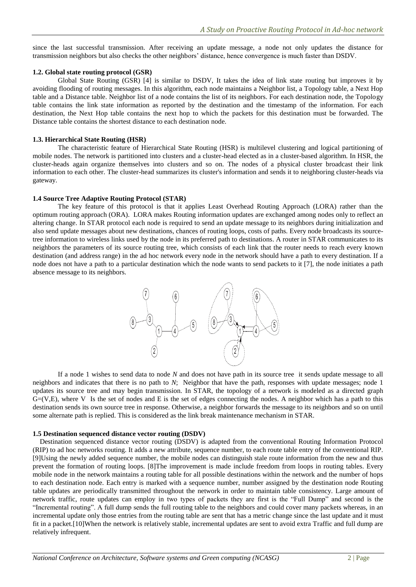since the last successful transmission. After receiving an update message, a node not only updates the distance for transmission neighbors but also checks the other neighbors' distance, hence convergence is much faster than DSDV.

#### **1.2. Global state routing protocol (GSR)**

Global State Routing (GSR) [4] is similar to DSDV, It takes the idea of link state routing but improves it by avoiding flooding of routing messages. In this algorithm, each node maintains a Neighbor list, a Topology table, a Next Hop table and a Distance table. Neighbor list of a node contains the list of its neighbors. For each destination node, the Topology table contains the link state information as reported by the destination and the timestamp of the information. For each destination, the Next Hop table contains the next hop to which the packets for this destination must be forwarded. The Distance table contains the shortest distance to each destination node.

#### **1.3. Hierarchical State Routing (HSR)**

The characteristic feature of Hierarchical State Routing (HSR) is multilevel clustering and logical partitioning of mobile nodes. The network is partitioned into clusters and a cluster-head elected as in a cluster-based algorithm. In HSR, the cluster-heads again organize themselves into clusters and so on. The nodes of a physical cluster broadcast their link information to each other. The cluster-head summarizes its cluster's information and sends it to neighboring cluster-heads via gateway.

#### **1.4 Source Tree Adaptive Routing Protocol (STAR)**

The key feature of this protocol is that it applies Least Overhead Routing Approach (LORA) rather than the optimum routing approach (ORA). LORA makes Routing information updates are exchanged among nodes only to reflect an altering change. In STAR protocol each node is required to send an update message to its neighbors during initialization and also send update messages about new destinations, chances of routing loops, costs of paths. Every node broadcasts its sourcetree information to wireless links used by the node in its preferred path to destinations. A router in STAR communicates to its neighbors the parameters of its source routing tree, which consists of each link that the router needs to reach every known destination (and address range) in the ad hoc network every node in the network should have a path to every destination. If a node does not have a path to a particular destination which the node wants to send packets to it [7], the node initiates a path absence message to its neighbors.



If a node 1 wishes to send data to node *N* and does not have path in its source tree it sends update message to all neighbors and indicates that there is no path to *N*; Neighbor that have the path, responses with update messages; node 1 updates its source tree and may begin transmission. In STAR, the topology of a network is modeled as a directed graph  $G=(V,E)$ , where V Is the set of nodes and E is the set of edges connecting the nodes. A neighbor which has a path to this destination sends its own source tree in response. Otherwise, a neighbor forwards the message to its neighbors and so on until some alternate path is replied. This is considered as the link break maintenance mechanism in STAR.

#### **1.5 Destination sequenced distance vector routing (DSDV)**

Destination sequenced distance vector routing (DSDV) is adapted from the conventional Routing Information Protocol (RIP) to ad hoc networks routing. It adds a new attribute, sequence number, to each route table entry of the conventional RIP. [9]Using the newly added sequence number, the mobile nodes can distinguish stale route information from the new and thus prevent the formation of routing loops. [8]The improvement is made include freedom from loops in routing tables. Every mobile node in the network maintains a routing table for all possible destinations within the network and the number of hops to each destination node. Each entry is marked with a sequence number, number assigned by the destination node Routing table updates are periodically transmitted throughout the network in order to maintain table consistency. Large amount of network traffic, route updates can employ in two types of packets they are first is the "Full Dump" and second is the "Incremental routing". A full dump sends the full routing table to the neighbors and could cover many packets whereas, in an incremental update only those entries from the routing table are sent that has a metric change since the last update and it must fit in a packet.[10]When the network is relatively stable, incremental updates are sent to avoid extra Traffic and full dump are relatively infrequent.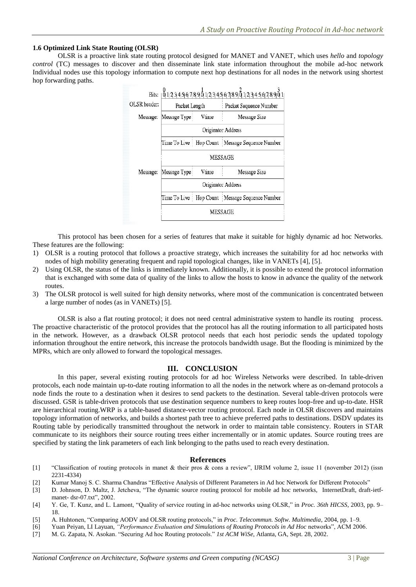# **1.6 Optimized Link State Routing (OLSR)**

OLSR is a proactive link state routing protocol designed for MANET and VANET, which uses *hello* and *topology control* (TC) messages to discover and then disseminate link state information throughout the mobile ad-hoc network Individual nodes use this topology information to compute next hop destinations for all nodes in the network using shortest hop forwarding paths.

|              |                    |       | Bits:  01234567890123456789012345678901 |
|--------------|--------------------|-------|-----------------------------------------|
| OLSR header: | Packet Length      |       | Packet Sequence Number                  |
| Message:     | Message Type:      | Vume  | Message Size                            |
|              | Originator Address |       |                                         |
|              | Time To Live:      |       | Hop Count Message Sequence Number       |
|              | MESSAGE            |       |                                         |
| Message:     | Message Type:      | Vtime | Message Size                            |
|              | Originator Address |       |                                         |
|              | Time To Live       |       | Hop Count : Message Sequence Number     |
|              | <b>MESSAGE</b>     |       |                                         |
|              |                    |       |                                         |

This protocol has been chosen for a series of features that make it suitable for highly dynamic ad hoc Networks. These features are the following:

- 1) OLSR is a routing protocol that follows a proactive strategy, which increases the suitability for ad hoc networks with nodes of high mobility generating frequent and rapid topological changes, like in VANETs [4], [5].
- 2) Using OLSR, the status of the links is immediately known. Additionally, it is possible to extend the protocol information that is exchanged with some data of quality of the links to allow the hosts to know in advance the quality of the network routes.
- 3) The OLSR protocol is well suited for high density networks, where most of the communication is concentrated between a large number of nodes (as in VANETs) [5].

OLSR is also a flat routing protocol; it does not need central administrative system to handle its routing process. The proactive characteristic of the protocol provides that the protocol has all the routing information to all participated hosts in the network. However, as a drawback OLSR protocol needs that each host periodic sends the updated topology information throughout the entire network, this increase the protocols bandwidth usage. But the flooding is minimized by the MPRs, which are only allowed to forward the topological messages.

## **III. CONCLUSION**

In this paper, several existing routing protocols for ad hoc Wireless Networks were described. In table-driven protocols, each node maintain up-to-date routing information to all the nodes in the network where as on-demand protocols a node finds the route to a destination when it desires to send packets to the destination. Several table-driven protocols were discussed. GSR is table-driven protocols that use destination sequence numbers to keep routes loop-free and up-to-date. HSR are hierarchical routing.WRP is a table-based distance-vector routing protocol. Each node in OLSR discovers and maintains topology information of networks, and builds a shortest path tree to achieve preferred paths to destinations. DSDV updates its Routing table by periodically transmitted throughout the network in order to maintain table consistency. Routers in STAR communicate to its neighbors their source routing trees either incrementally or in atomic updates. Source routing trees are specified by stating the link parameters of each link belonging to the paths used to reach every destination.

## **References**

- [1] "Classification of routing protocols in manet & their pros & cons a review", IJRIM volume 2, issue 11 (november 2012) (issn 2231-4334)
- [2] Kumar Manoj S. C. Sharma Chandras "Effective Analysis of Different Parameters in Ad hoc Network for Different Protocols"
- [3] D. Johnson, D. Maltz, J. Jetcheva, "The dynamic source routing protocol for mobile ad hoc networks, InternetDraft, draft-ietfmanet- dsr-07.txt", 2002.
- [4] Y. Ge, T. Kunz, and L. Lamont, "Quality of service routing in ad-hoc networks using OLSR," in *Proc. 36th HICSS*, 2003, pp. 9– 18.
- [5] A. Huhtonen, "Comparing AODV and OLSR routing protocols," in *Proc. Telecommun. Softw. Multimedia*, 2004, pp. 1–9.
- [6] Yuan Peiyan, LI Layuan, *"Performance Evaluation and Simulations of Routing Protocols in Ad Hoc* networks", ACM 2006.
- [7] M. G. Zapata, N. Asokan. "Securing Ad hoc Routing protocols." *1st ACM WiSe*, Atlanta, GA, Sept. 28, 2002.